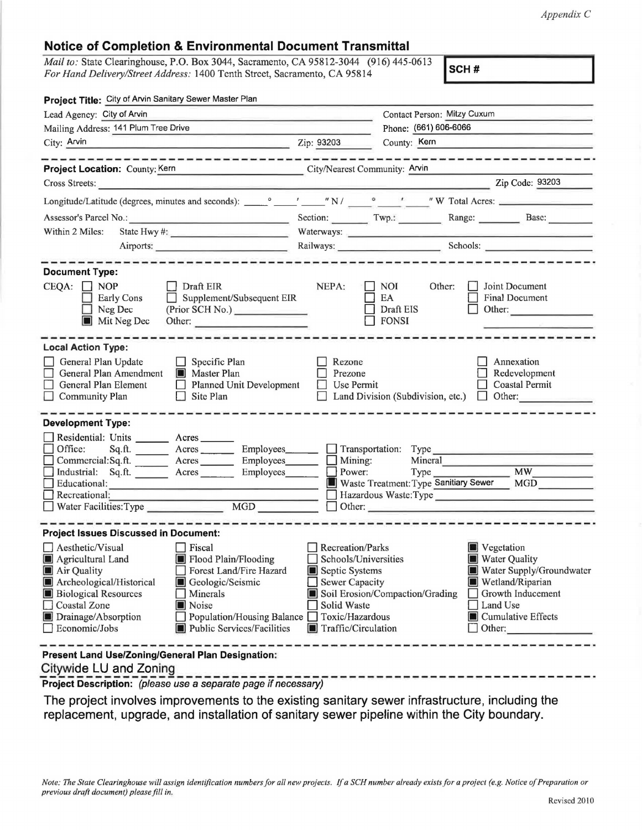*Appendix* C

## **Notice of Completion & Environmental Document Transmittal**

*Mail to:* State Clearinghouse, P.O. Box 3044, Sacramento, CA 95812-3044 (916) 445-0613 *For Hand Delivery/Street Address:* 1400 Tenth Street, Sacramento, CA 95814

**SCH#** 

| Project Title: City of Arvin Sanitary Sewer Master Plan                                                                                                                                              |                                                                                                                                                                                                                                |                                                                                                                                              |                                                         |                                                                                                                                                                                                                                |
|------------------------------------------------------------------------------------------------------------------------------------------------------------------------------------------------------|--------------------------------------------------------------------------------------------------------------------------------------------------------------------------------------------------------------------------------|----------------------------------------------------------------------------------------------------------------------------------------------|---------------------------------------------------------|--------------------------------------------------------------------------------------------------------------------------------------------------------------------------------------------------------------------------------|
| Lead Agency: City of Arvin                                                                                                                                                                           |                                                                                                                                                                                                                                | Contact Person: Mitzy Cuxum                                                                                                                  |                                                         |                                                                                                                                                                                                                                |
| Mailing Address: 141 Plum Tree Drive                                                                                                                                                                 |                                                                                                                                                                                                                                |                                                                                                                                              | Phone: (661) 606-6066                                   |                                                                                                                                                                                                                                |
| City: Arvin                                                                                                                                                                                          | and the contract of the contract of the contract of the contract of the contract of the contract of the contract of the contract of the contract of the contract of the contract of the contract of the contract of the contra | Zip: 93203                                                                                                                                   | County: Kern                                            |                                                                                                                                                                                                                                |
| Project Location: County: Kern                                                                                                                                                                       | -----------------------------<br>City/Nearest Community: Arvin                                                                                                                                                                 |                                                                                                                                              |                                                         |                                                                                                                                                                                                                                |
| Cross Streets:                                                                                                                                                                                       |                                                                                                                                                                                                                                |                                                                                                                                              |                                                         |                                                                                                                                                                                                                                |
|                                                                                                                                                                                                      |                                                                                                                                                                                                                                |                                                                                                                                              |                                                         |                                                                                                                                                                                                                                |
|                                                                                                                                                                                                      |                                                                                                                                                                                                                                |                                                                                                                                              |                                                         | Section: Twp.: Range: Base: Base:                                                                                                                                                                                              |
| State Hwy #: $\frac{1}{2}$<br>Within 2 Miles:                                                                                                                                                        |                                                                                                                                                                                                                                |                                                                                                                                              |                                                         | Waterways: New York and the contract of the contract of the contract of the contract of the contract of the contract of the contract of the contract of the contract of the contract of the contract of the contract of the co |
| Airports:                                                                                                                                                                                            |                                                                                                                                                                                                                                |                                                                                                                                              |                                                         | Railways: Schools: Schools:                                                                                                                                                                                                    |
| <b>Document Type:</b>                                                                                                                                                                                | --------------------                                                                                                                                                                                                           |                                                                                                                                              |                                                         |                                                                                                                                                                                                                                |
| $CEQA: \Box NOP$<br>$\Box$ Early Cons<br>Neg Dec<br>Mit Neg Dec                                                                                                                                      | $\Box$ Draft EIR<br>$\Box$ Supplement/Subsequent EIR<br>(Prior SCH No.)<br>Other:                                                                                                                                              | NEPA:                                                                                                                                        | <b>NOI</b><br>Other:<br>EA<br>Draft EIS<br>$\Box$ FONSI | <b>Joint Document</b><br>Final Document<br>$\Box$ Other:                                                                                                                                                                       |
| <b>Local Action Type:</b>                                                                                                                                                                            |                                                                                                                                                                                                                                |                                                                                                                                              |                                                         |                                                                                                                                                                                                                                |
| General Plan Update<br>$\Box$ Specific Plan<br>General Plan Amendment<br><b>Master Plan</b><br>Planned Unit Development<br>General Plan Element<br>Community Plan<br>$\Box$ Site Plan                |                                                                                                                                                                                                                                | Rezone<br>Prezone<br>Use Permit<br>LТ                                                                                                        |                                                         | Annexation<br>Redevelopment<br><b>Coastal Permit</b><br>$\Box$ Land Division (Subdivision, etc.) $\Box$ Other:                                                                                                                 |
| <b>Development Type:</b>                                                                                                                                                                             |                                                                                                                                                                                                                                |                                                                                                                                              |                                                         |                                                                                                                                                                                                                                |
| Residential: Units ________ Acres _______<br>Office:<br>Commercial:Sq.ft. _______ Acres ______<br>Industrial: Sq.ft. _______ Acres ______<br>Educational:<br>Recreational:<br>Water Facilities: Type | Sq.ft. ________ Acres _________ Employees_______ __ Transportation: Type __________________________<br>MGD                                                                                                                     | Power:<br>$\Box$ Other:                                                                                                                      | Mineral 2003<br>$Type_$                                 | MW<br>Waste Treatment: Type Sanitiary Sewer MGD<br>Hazardous Waste:Type                                                                                                                                                        |
| <b>Project Issues Discussed in Document:</b>                                                                                                                                                         |                                                                                                                                                                                                                                |                                                                                                                                              |                                                         |                                                                                                                                                                                                                                |
| $\Box$ Aesthetic/Visual<br>Agricultural Land<br>Air Quality<br>Archeological/Historical<br><b>Biological Resources</b><br>Coastal Zone<br>Drainage/Absorption<br>Economic/Jobs                       | $\Box$ Fiscal<br>Flood Plain/Flooding<br>Forest Land/Fire Hazard<br>Geologic/Seismic<br>Minerals<br>Noise<br>Population/Housing Balance<br>Public Services/Facilities                                                          | Recreation/Parks<br>Schools/Universities<br>Septic Systems<br><b>Sewer Capacity</b><br>Solid Waste<br>Toxic/Hazardous<br>Traffic/Circulation | Soil Erosion/Compaction/Grading                         | Vegetation<br>Water Quality<br>Water Supply/Groundwater<br>Wetland/Riparian<br>Growth Inducement<br>Land Use<br>Cumulative Effects<br>Other:                                                                                   |
| Present Land Use/Zoning/General Plan Designation:<br>Citywide LU and Zoning                                                                                                                          |                                                                                                                                                                                                                                |                                                                                                                                              |                                                         |                                                                                                                                                                                                                                |

**Project Description:** (please use a separate page if necessary)

The project involves improvements to the existing sanitary sewer infrastructure, including the replacement, upgrade, and installation of sanitary sewer pipeline within the City boundary.